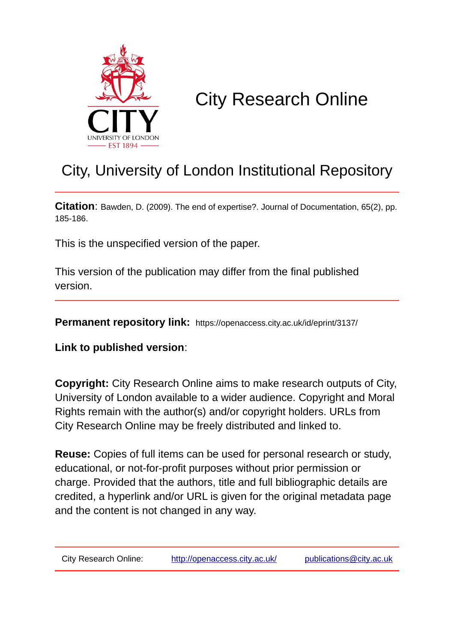

## City Research Online

## City, University of London Institutional Repository

**Citation**: Bawden, D. (2009). The end of expertise?. Journal of Documentation, 65(2), pp. 185-186.

This is the unspecified version of the paper.

This version of the publication may differ from the final published version.

**Permanent repository link:** https://openaccess.city.ac.uk/id/eprint/3137/

**Link to published version**:

**Copyright:** City Research Online aims to make research outputs of City, University of London available to a wider audience. Copyright and Moral Rights remain with the author(s) and/or copyright holders. URLs from City Research Online may be freely distributed and linked to.

**Reuse:** Copies of full items can be used for personal research or study, educational, or not-for-profit purposes without prior permission or charge. Provided that the authors, title and full bibliographic details are credited, a hyperlink and/or URL is given for the original metadata page and the content is not changed in any way.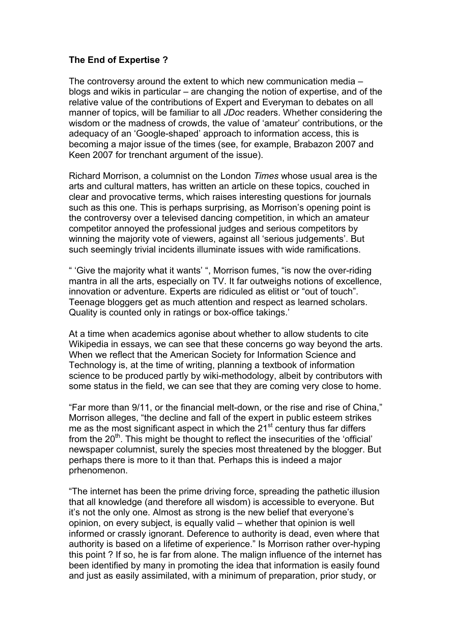## **The End of Expertise ?**

The controversy around the extent to which new communication media – blogs and wikis in particular – are changing the notion of expertise, and of the relative value of the contributions of Expert and Everyman to debates on all manner of topics, will be familiar to all *JDoc* readers. Whether considering the wisdom or the madness of crowds, the value of 'amateur' contributions, or the adequacy of an 'Google-shaped' approach to information access, this is becoming a major issue of the times (see, for example, Brabazon 2007 and Keen 2007 for trenchant argument of the issue).

Richard Morrison, a columnist on the London *Times* whose usual area is the arts and cultural matters, has written an article on these topics, couched in clear and provocative terms, which raises interesting questions for journals such as this one. This is perhaps surprising, as Morrison's opening point is the controversy over a televised dancing competition, in which an amateur competitor annoyed the professional judges and serious competitors by winning the majority vote of viewers, against all 'serious judgements'. But such seemingly trivial incidents illuminate issues with wide ramifications.

" 'Give the majority what it wants' ", Morrison fumes, "is now the over-riding mantra in all the arts, especially on TV. It far outweighs notions of excellence, innovation or adventure. Experts are ridiculed as elitist or "out of touch". Teenage bloggers get as much attention and respect as learned scholars. Quality is counted only in ratings or box-office takings.'

At a time when academics agonise about whether to allow students to cite Wikipedia in essays, we can see that these concerns go way beyond the arts. When we reflect that the American Society for Information Science and Technology is, at the time of writing, planning a textbook of information science to be produced partly by wiki-methodology, albeit by contributors with some status in the field, we can see that they are coming very close to home.

"Far more than 9/11, or the financial melt-down, or the rise and rise of China," Morrison alleges, "the decline and fall of the expert in public esteem strikes me as the most significant aspect in which the  $21<sup>st</sup>$  century thus far differs from the 20<sup>th</sup>. This might be thought to reflect the insecurities of the 'official' newspaper columnist, surely the species most threatened by the blogger. But perhaps there is more to it than that. Perhaps this is indeed a major prhenomenon.

"The internet has been the prime driving force, spreading the pathetic illusion that all knowledge (and therefore all wisdom) is accessible to everyone. But it's not the only one. Almost as strong is the new belief that everyone's opinion, on every subject, is equally valid – whether that opinion is well informed or crassly ignorant. Deference to authority is dead, even where that authority is based on a lifetime of experience." Is Morrison rather over-hyping this point ? If so, he is far from alone. The malign influence of the internet has been identified by many in promoting the idea that information is easily found and just as easily assimilated, with a minimum of preparation, prior study, or